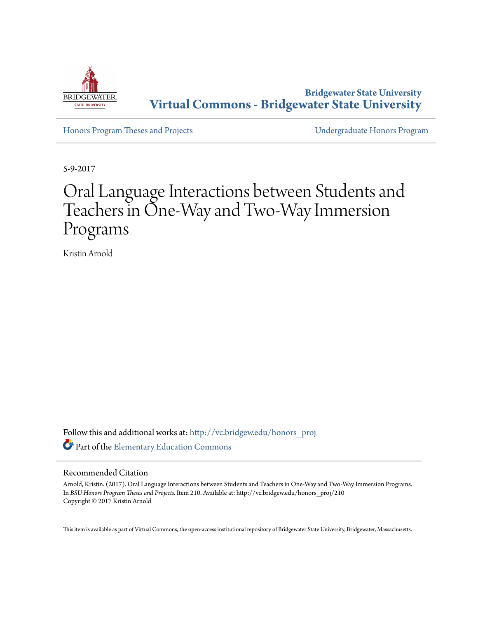

**Bridgewater State University [Virtual Commons - Bridgewater State University](http://vc.bridgew.edu?utm_source=vc.bridgew.edu%2Fhonors_proj%2F210&utm_medium=PDF&utm_campaign=PDFCoverPages)**

[Honors Program Theses and Projects](http://vc.bridgew.edu/honors_proj?utm_source=vc.bridgew.edu%2Fhonors_proj%2F210&utm_medium=PDF&utm_campaign=PDFCoverPages) [Undergraduate Honors Program](http://vc.bridgew.edu/honors?utm_source=vc.bridgew.edu%2Fhonors_proj%2F210&utm_medium=PDF&utm_campaign=PDFCoverPages)

5-9-2017

# Oral Language Interactions between Students and Teachers in One-Way and Two-Way Immersion Programs

Kristin Arnold

Follow this and additional works at: [http://vc.bridgew.edu/honors\\_proj](http://vc.bridgew.edu/honors_proj?utm_source=vc.bridgew.edu%2Fhonors_proj%2F210&utm_medium=PDF&utm_campaign=PDFCoverPages) Part of the [Elementary Education Commons](http://network.bepress.com/hgg/discipline/1378?utm_source=vc.bridgew.edu%2Fhonors_proj%2F210&utm_medium=PDF&utm_campaign=PDFCoverPages)

# Recommended Citation

Arnold, Kristin. (2017). Oral Language Interactions between Students and Teachers in One-Way and Two-Way Immersion Programs. In *BSU Honors Program Theses and Projects.* Item 210. Available at: http://vc.bridgew.edu/honors\_proj/210 Copyright © 2017 Kristin Arnold

This item is available as part of Virtual Commons, the open-access institutional repository of Bridgewater State University, Bridgewater, Massachusetts.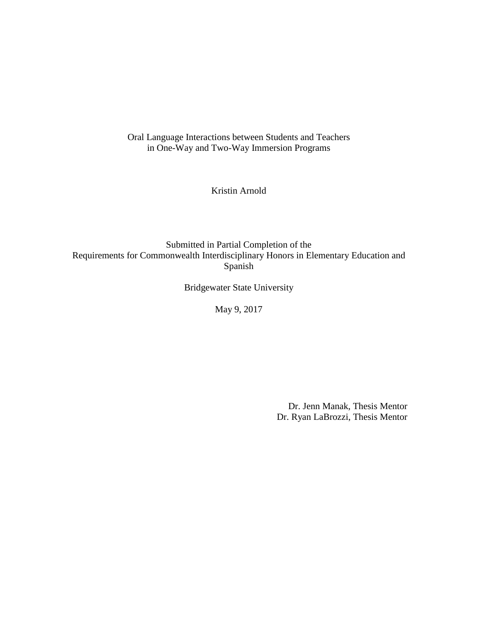Oral Language Interactions between Students and Teachers in One-Way and Two-Way Immersion Programs

Kristin Arnold

Submitted in Partial Completion of the Requirements for Commonwealth Interdisciplinary Honors in Elementary Education and Spanish

Bridgewater State University

May 9, 2017

 Dr. Jenn Manak, Thesis Mentor Dr. Ryan LaBrozzi, Thesis Mentor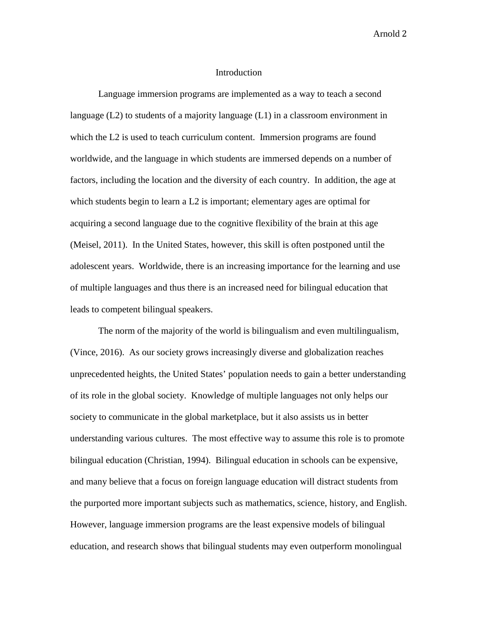### Introduction

Language immersion programs are implemented as a way to teach a second language (L2) to students of a majority language (L1) in a classroom environment in which the L2 is used to teach curriculum content. Immersion programs are found worldwide, and the language in which students are immersed depends on a number of factors, including the location and the diversity of each country. In addition, the age at which students begin to learn a L2 is important; elementary ages are optimal for acquiring a second language due to the cognitive flexibility of the brain at this age (Meisel, 2011). In the United States, however, this skill is often postponed until the adolescent years. Worldwide, there is an increasing importance for the learning and use of multiple languages and thus there is an increased need for bilingual education that leads to competent bilingual speakers.

The norm of the majority of the world is bilingualism and even multilingualism, (Vince, 2016). As our society grows increasingly diverse and globalization reaches unprecedented heights, the United States' population needs to gain a better understanding of its role in the global society. Knowledge of multiple languages not only helps our society to communicate in the global marketplace, but it also assists us in better understanding various cultures. The most effective way to assume this role is to promote bilingual education (Christian, 1994). Bilingual education in schools can be expensive, and many believe that a focus on foreign language education will distract students from the purported more important subjects such as mathematics, science, history, and English. However, language immersion programs are the least expensive models of bilingual education, and research shows that bilingual students may even outperform monolingual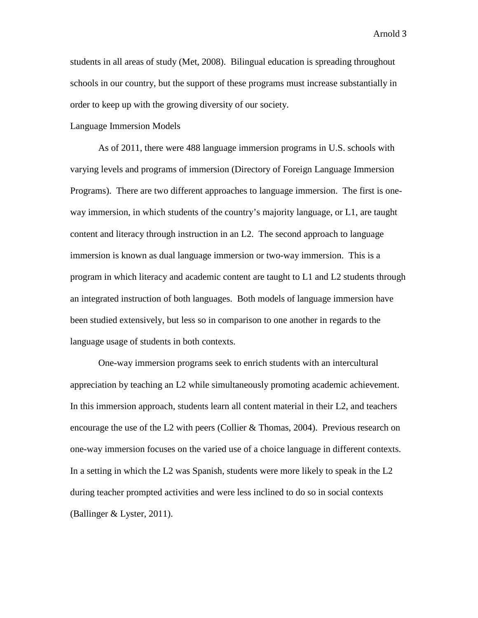students in all areas of study (Met, 2008). Bilingual education is spreading throughout schools in our country, but the support of these programs must increase substantially in order to keep up with the growing diversity of our society.

## Language Immersion Models

As of 2011, there were 488 language immersion programs in U.S. schools with varying levels and programs of immersion (Directory of Foreign Language Immersion Programs). There are two different approaches to language immersion. The first is oneway immersion, in which students of the country's majority language, or L1, are taught content and literacy through instruction in an L2. The second approach to language immersion is known as dual language immersion or two-way immersion. This is a program in which literacy and academic content are taught to L1 and L2 students through an integrated instruction of both languages. Both models of language immersion have been studied extensively, but less so in comparison to one another in regards to the language usage of students in both contexts.

One-way immersion programs seek to enrich students with an intercultural appreciation by teaching an L2 while simultaneously promoting academic achievement. In this immersion approach, students learn all content material in their L2, and teachers encourage the use of the L2 with peers (Collier & Thomas, 2004). Previous research on one-way immersion focuses on the varied use of a choice language in different contexts. In a setting in which the L2 was Spanish, students were more likely to speak in the L2 during teacher prompted activities and were less inclined to do so in social contexts (Ballinger & Lyster, 2011).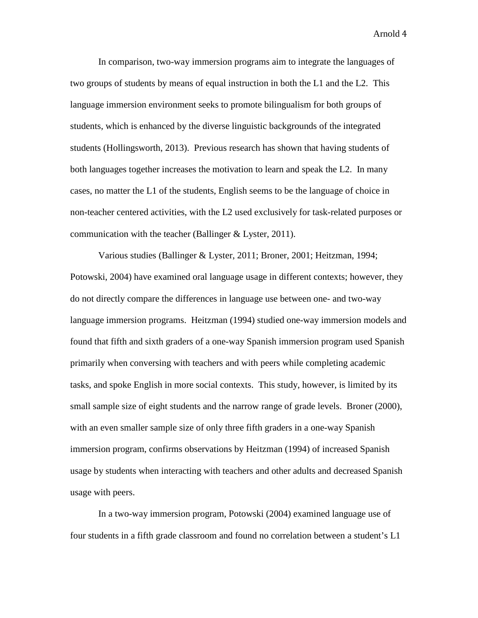In comparison, two-way immersion programs aim to integrate the languages of two groups of students by means of equal instruction in both the L1 and the L2. This language immersion environment seeks to promote bilingualism for both groups of students, which is enhanced by the diverse linguistic backgrounds of the integrated students (Hollingsworth, 2013). Previous research has shown that having students of both languages together increases the motivation to learn and speak the L2. In many cases, no matter the L1 of the students, English seems to be the language of choice in non-teacher centered activities, with the L2 used exclusively for task-related purposes or communication with the teacher (Ballinger & Lyster, 2011).

Various studies (Ballinger & Lyster, 2011; Broner, 2001; Heitzman, 1994; Potowski, 2004) have examined oral language usage in different contexts; however, they do not directly compare the differences in language use between one- and two-way language immersion programs. Heitzman (1994) studied one-way immersion models and found that fifth and sixth graders of a one-way Spanish immersion program used Spanish primarily when conversing with teachers and with peers while completing academic tasks, and spoke English in more social contexts. This study, however, is limited by its small sample size of eight students and the narrow range of grade levels. Broner (2000), with an even smaller sample size of only three fifth graders in a one-way Spanish immersion program, confirms observations by Heitzman (1994) of increased Spanish usage by students when interacting with teachers and other adults and decreased Spanish usage with peers.

In a two-way immersion program, Potowski (2004) examined language use of four students in a fifth grade classroom and found no correlation between a student's L1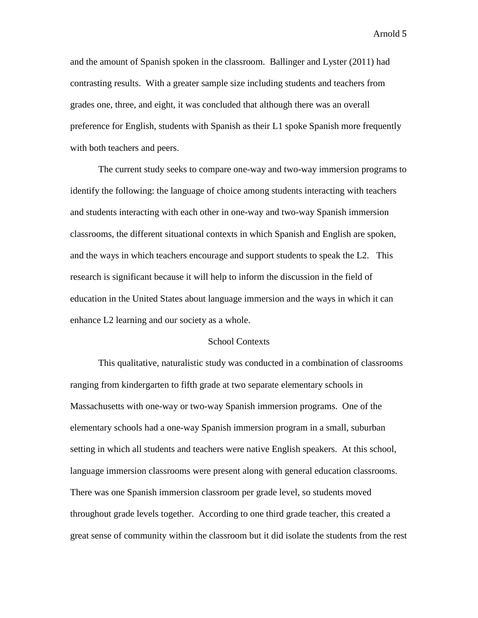and the amount of Spanish spoken in the classroom. Ballinger and Lyster (2011) had contrasting results. With a greater sample size including students and teachers from grades one, three, and eight, it was concluded that although there was an overall preference for English, students with Spanish as their L1 spoke Spanish more frequently with both teachers and peers.

The current study seeks to compare one-way and two-way immersion programs to identify the following: the language of choice among students interacting with teachers and students interacting with each other in one-way and two-way Spanish immersion classrooms, the different situational contexts in which Spanish and English are spoken, and the ways in which teachers encourage and support students to speak the L2. This research is significant because it will help to inform the discussion in the field of education in the United States about language immersion and the ways in which it can enhance L2 learning and our society as a whole.

## School Contexts

This qualitative, naturalistic study was conducted in a combination of classrooms ranging from kindergarten to fifth grade at two separate elementary schools in Massachusetts with one-way or two-way Spanish immersion programs. One of the elementary schools had a one-way Spanish immersion program in a small, suburban setting in which all students and teachers were native English speakers. At this school, language immersion classrooms were present along with general education classrooms. There was one Spanish immersion classroom per grade level, so students moved throughout grade levels together. According to one third grade teacher, this created a great sense of community within the classroom but it did isolate the students from the rest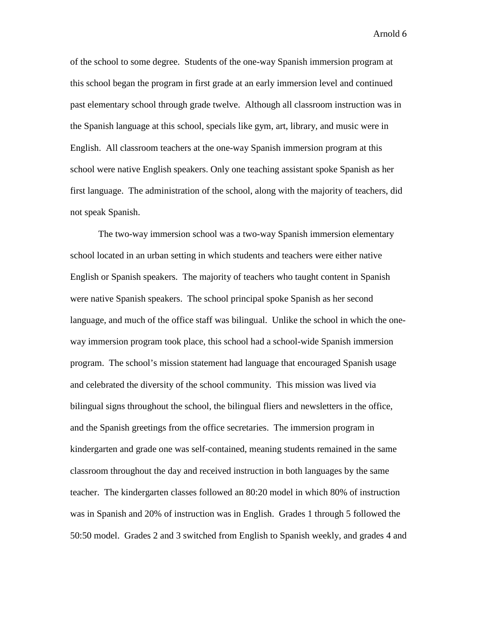of the school to some degree. Students of the one-way Spanish immersion program at this school began the program in first grade at an early immersion level and continued past elementary school through grade twelve. Although all classroom instruction was in the Spanish language at this school, specials like gym, art, library, and music were in English. All classroom teachers at the one-way Spanish immersion program at this school were native English speakers. Only one teaching assistant spoke Spanish as her first language. The administration of the school, along with the majority of teachers, did not speak Spanish.

The two-way immersion school was a two-way Spanish immersion elementary school located in an urban setting in which students and teachers were either native English or Spanish speakers. The majority of teachers who taught content in Spanish were native Spanish speakers. The school principal spoke Spanish as her second language, and much of the office staff was bilingual. Unlike the school in which the oneway immersion program took place, this school had a school-wide Spanish immersion program. The school's mission statement had language that encouraged Spanish usage and celebrated the diversity of the school community. This mission was lived via bilingual signs throughout the school, the bilingual fliers and newsletters in the office, and the Spanish greetings from the office secretaries. The immersion program in kindergarten and grade one was self-contained, meaning students remained in the same classroom throughout the day and received instruction in both languages by the same teacher. The kindergarten classes followed an 80:20 model in which 80% of instruction was in Spanish and 20% of instruction was in English. Grades 1 through 5 followed the 50:50 model. Grades 2 and 3 switched from English to Spanish weekly, and grades 4 and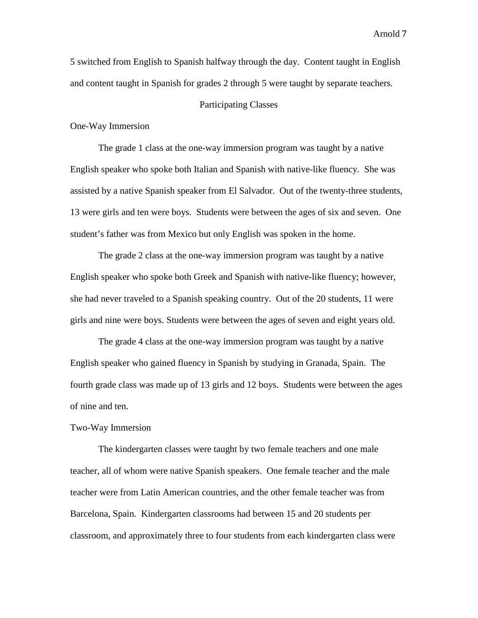5 switched from English to Spanish halfway through the day. Content taught in English and content taught in Spanish for grades 2 through 5 were taught by separate teachers.

# Participating Classes

One-Way Immersion

The grade 1 class at the one-way immersion program was taught by a native English speaker who spoke both Italian and Spanish with native-like fluency. She was assisted by a native Spanish speaker from El Salvador. Out of the twenty-three students, 13 were girls and ten were boys. Students were between the ages of six and seven. One student's father was from Mexico but only English was spoken in the home.

The grade 2 class at the one-way immersion program was taught by a native English speaker who spoke both Greek and Spanish with native-like fluency; however, she had never traveled to a Spanish speaking country. Out of the 20 students, 11 were girls and nine were boys. Students were between the ages of seven and eight years old.

The grade 4 class at the one-way immersion program was taught by a native English speaker who gained fluency in Spanish by studying in Granada, Spain. The fourth grade class was made up of 13 girls and 12 boys. Students were between the ages of nine and ten.

#### Two-Way Immersion

The kindergarten classes were taught by two female teachers and one male teacher, all of whom were native Spanish speakers. One female teacher and the male teacher were from Latin American countries, and the other female teacher was from Barcelona, Spain. Kindergarten classrooms had between 15 and 20 students per classroom, and approximately three to four students from each kindergarten class were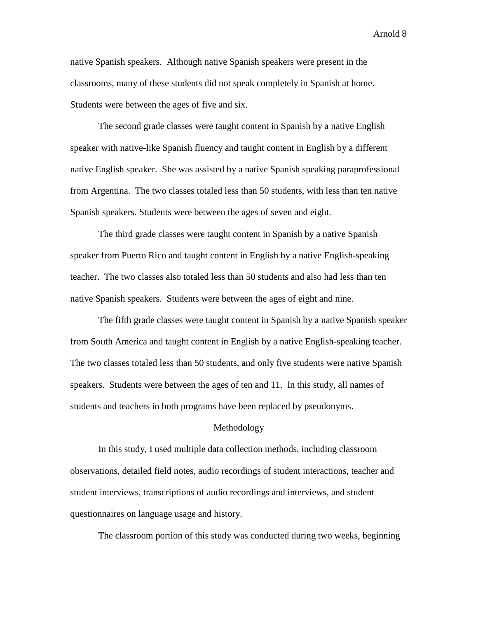native Spanish speakers. Although native Spanish speakers were present in the classrooms, many of these students did not speak completely in Spanish at home. Students were between the ages of five and six.

The second grade classes were taught content in Spanish by a native English speaker with native-like Spanish fluency and taught content in English by a different native English speaker. She was assisted by a native Spanish speaking paraprofessional from Argentina. The two classes totaled less than 50 students, with less than ten native Spanish speakers. Students were between the ages of seven and eight.

The third grade classes were taught content in Spanish by a native Spanish speaker from Puerto Rico and taught content in English by a native English-speaking teacher. The two classes also totaled less than 50 students and also had less than ten native Spanish speakers. Students were between the ages of eight and nine.

The fifth grade classes were taught content in Spanish by a native Spanish speaker from South America and taught content in English by a native English-speaking teacher. The two classes totaled less than 50 students, and only five students were native Spanish speakers. Students were between the ages of ten and 11. In this study, all names of students and teachers in both programs have been replaced by pseudonyms.

# Methodology

In this study, I used multiple data collection methods, including classroom observations, detailed field notes, audio recordings of student interactions, teacher and student interviews, transcriptions of audio recordings and interviews, and student questionnaires on language usage and history.

The classroom portion of this study was conducted during two weeks, beginning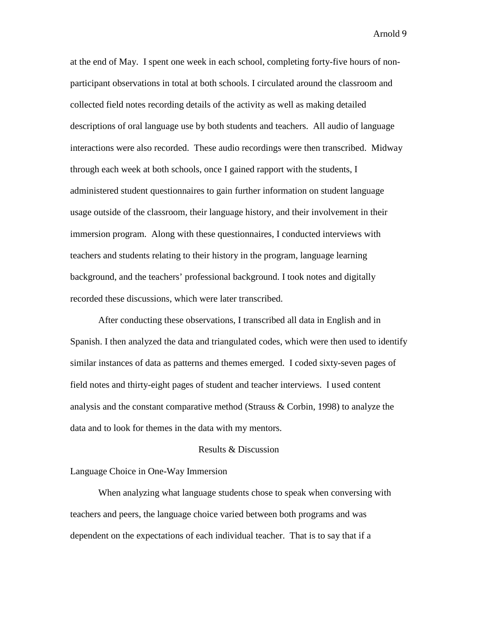at the end of May. I spent one week in each school, completing forty-five hours of nonparticipant observations in total at both schools. I circulated around the classroom and collected field notes recording details of the activity as well as making detailed descriptions of oral language use by both students and teachers. All audio of language interactions were also recorded. These audio recordings were then transcribed. Midway through each week at both schools, once I gained rapport with the students, I administered student questionnaires to gain further information on student language usage outside of the classroom, their language history, and their involvement in their immersion program. Along with these questionnaires, I conducted interviews with teachers and students relating to their history in the program, language learning background, and the teachers' professional background. I took notes and digitally recorded these discussions, which were later transcribed.

After conducting these observations, I transcribed all data in English and in Spanish. I then analyzed the data and triangulated codes, which were then used to identify similar instances of data as patterns and themes emerged. I coded sixty-seven pages of field notes and thirty-eight pages of student and teacher interviews. I used content analysis and the constant comparative method (Strauss & Corbin, 1998) to analyze the data and to look for themes in the data with my mentors.

## Results & Discussion

Language Choice in One-Way Immersion

When analyzing what language students chose to speak when conversing with teachers and peers, the language choice varied between both programs and was dependent on the expectations of each individual teacher. That is to say that if a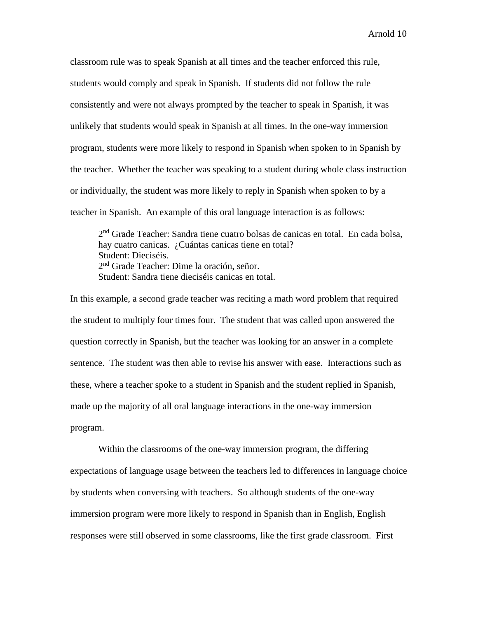classroom rule was to speak Spanish at all times and the teacher enforced this rule, students would comply and speak in Spanish. If students did not follow the rule consistently and were not always prompted by the teacher to speak in Spanish, it was unlikely that students would speak in Spanish at all times. In the one-way immersion program, students were more likely to respond in Spanish when spoken to in Spanish by the teacher. Whether the teacher was speaking to a student during whole class instruction or individually, the student was more likely to reply in Spanish when spoken to by a teacher in Spanish. An example of this oral language interaction is as follows:

2nd Grade Teacher: Sandra tiene cuatro bolsas de canicas en total. En cada bolsa, hay cuatro canicas. ¿Cuántas canicas tiene en total? Student: Dieciséis. 2<sup>nd</sup> Grade Teacher: Dime la oración, señor. Student: Sandra tiene dieciséis canicas en total.

In this example, a second grade teacher was reciting a math word problem that required the student to multiply four times four. The student that was called upon answered the question correctly in Spanish, but the teacher was looking for an answer in a complete sentence. The student was then able to revise his answer with ease. Interactions such as these, where a teacher spoke to a student in Spanish and the student replied in Spanish, made up the majority of all oral language interactions in the one-way immersion program.

Within the classrooms of the one-way immersion program, the differing expectations of language usage between the teachers led to differences in language choice by students when conversing with teachers. So although students of the one-way immersion program were more likely to respond in Spanish than in English, English responses were still observed in some classrooms, like the first grade classroom. First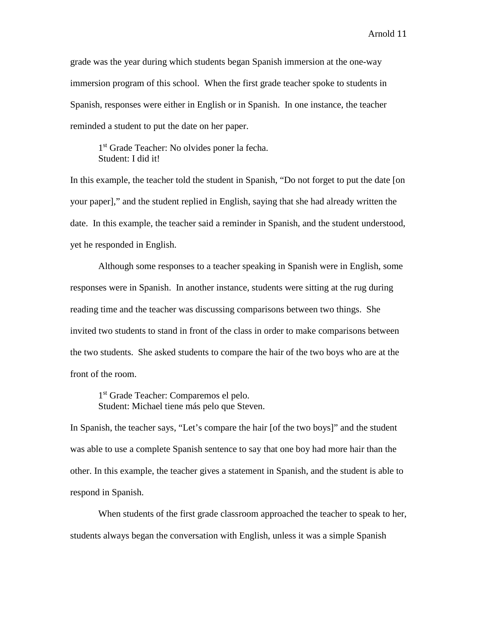grade was the year during which students began Spanish immersion at the one-way immersion program of this school. When the first grade teacher spoke to students in Spanish, responses were either in English or in Spanish. In one instance, the teacher reminded a student to put the date on her paper.

1<sup>st</sup> Grade Teacher: No olvides poner la fecha. Student: I did it!

In this example, the teacher told the student in Spanish, "Do not forget to put the date [on your paper]," and the student replied in English, saying that she had already written the date. In this example, the teacher said a reminder in Spanish, and the student understood, yet he responded in English.

Although some responses to a teacher speaking in Spanish were in English, some responses were in Spanish. In another instance, students were sitting at the rug during reading time and the teacher was discussing comparisons between two things. She invited two students to stand in front of the class in order to make comparisons between the two students. She asked students to compare the hair of the two boys who are at the front of the room.

1st Grade Teacher: Comparemos el pelo. Student: Michael tiene más pelo que Steven.

In Spanish, the teacher says, "Let's compare the hair [of the two boys]" and the student was able to use a complete Spanish sentence to say that one boy had more hair than the other. In this example, the teacher gives a statement in Spanish, and the student is able to respond in Spanish.

When students of the first grade classroom approached the teacher to speak to her, students always began the conversation with English, unless it was a simple Spanish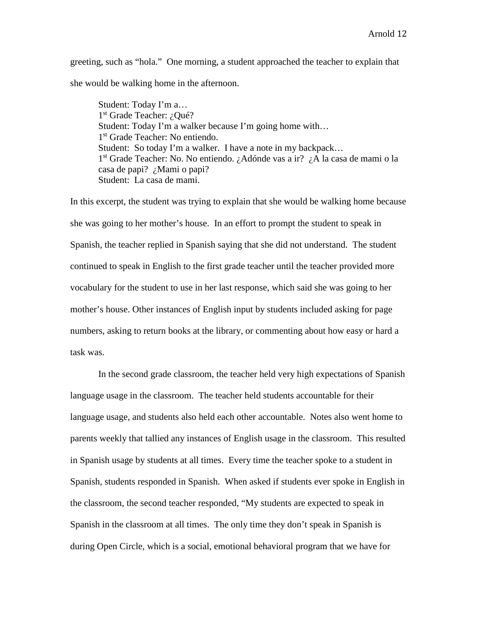greeting, such as "hola." One morning, a student approached the teacher to explain that she would be walking home in the afternoon.

Student: Today I'm a… 1<sup>st</sup> Grade Teacher: ¿Qué? Student: Today I'm a walker because I'm going home with… 1<sup>st</sup> Grade Teacher: No entiendo. Student: So today I'm a walker. I have a note in my backpack... 1st Grade Teacher: No. No entiendo. ¿Adónde vas a ir? ¿A la casa de mami o la casa de papi? ¿Mami o papi? Student: La casa de mami.

In this excerpt, the student was trying to explain that she would be walking home because she was going to her mother's house. In an effort to prompt the student to speak in Spanish, the teacher replied in Spanish saying that she did not understand. The student continued to speak in English to the first grade teacher until the teacher provided more vocabulary for the student to use in her last response, which said she was going to her mother's house. Other instances of English input by students included asking for page numbers, asking to return books at the library, or commenting about how easy or hard a task was.

In the second grade classroom, the teacher held very high expectations of Spanish language usage in the classroom. The teacher held students accountable for their language usage, and students also held each other accountable. Notes also went home to parents weekly that tallied any instances of English usage in the classroom. This resulted in Spanish usage by students at all times. Every time the teacher spoke to a student in Spanish, students responded in Spanish. When asked if students ever spoke in English in the classroom, the second teacher responded, "My students are expected to speak in Spanish in the classroom at all times. The only time they don't speak in Spanish is during Open Circle, which is a social, emotional behavioral program that we have for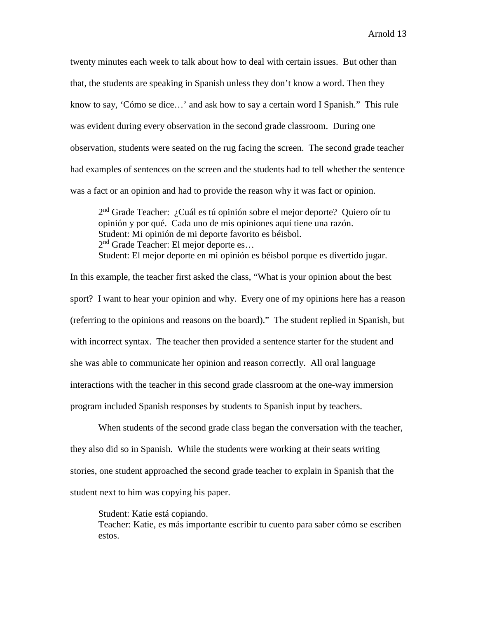twenty minutes each week to talk about how to deal with certain issues. But other than that, the students are speaking in Spanish unless they don't know a word. Then they know to say, 'Cómo se dice…' and ask how to say a certain word I Spanish." This rule was evident during every observation in the second grade classroom. During one observation, students were seated on the rug facing the screen. The second grade teacher had examples of sentences on the screen and the students had to tell whether the sentence was a fact or an opinion and had to provide the reason why it was fact or opinion.

2<sup>nd</sup> Grade Teacher: ¿Cuál es tú opinión sobre el mejor deporte? Quiero oír tu opinión y por qué. Cada uno de mis opiniones aquí tiene una razón. Student: Mi opinión de mi deporte favorito es béisbol. 2<sup>nd</sup> Grade Teacher: El mejor deporte es... Student: El mejor deporte en mi opinión es béisbol porque es divertido jugar.

In this example, the teacher first asked the class, "What is your opinion about the best sport? I want to hear your opinion and why. Every one of my opinions here has a reason (referring to the opinions and reasons on the board)." The student replied in Spanish, but with incorrect syntax. The teacher then provided a sentence starter for the student and she was able to communicate her opinion and reason correctly. All oral language interactions with the teacher in this second grade classroom at the one-way immersion program included Spanish responses by students to Spanish input by teachers.

When students of the second grade class began the conversation with the teacher, they also did so in Spanish. While the students were working at their seats writing stories, one student approached the second grade teacher to explain in Spanish that the student next to him was copying his paper.

Student: Katie está copiando. Teacher: Katie, es más importante escribir tu cuento para saber cómo se escriben estos.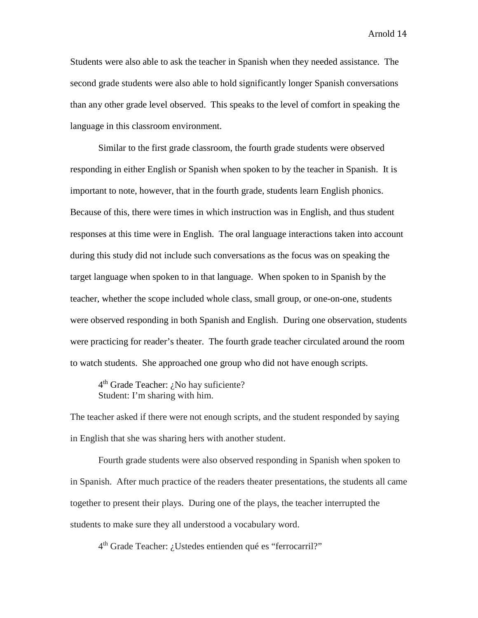Students were also able to ask the teacher in Spanish when they needed assistance. The second grade students were also able to hold significantly longer Spanish conversations than any other grade level observed. This speaks to the level of comfort in speaking the language in this classroom environment.

Similar to the first grade classroom, the fourth grade students were observed responding in either English or Spanish when spoken to by the teacher in Spanish. It is important to note, however, that in the fourth grade, students learn English phonics. Because of this, there were times in which instruction was in English, and thus student responses at this time were in English. The oral language interactions taken into account during this study did not include such conversations as the focus was on speaking the target language when spoken to in that language. When spoken to in Spanish by the teacher, whether the scope included whole class, small group, or one-on-one, students were observed responding in both Spanish and English. During one observation, students were practicing for reader's theater. The fourth grade teacher circulated around the room to watch students. She approached one group who did not have enough scripts.

4<sup>th</sup> Grade Teacher: ¿No hay suficiente? Student: I'm sharing with him.

The teacher asked if there were not enough scripts, and the student responded by saying in English that she was sharing hers with another student.

Fourth grade students were also observed responding in Spanish when spoken to in Spanish. After much practice of the readers theater presentations, the students all came together to present their plays. During one of the plays, the teacher interrupted the students to make sure they all understood a vocabulary word.

4th Grade Teacher: ¿Ustedes entienden qué es "ferrocarril?"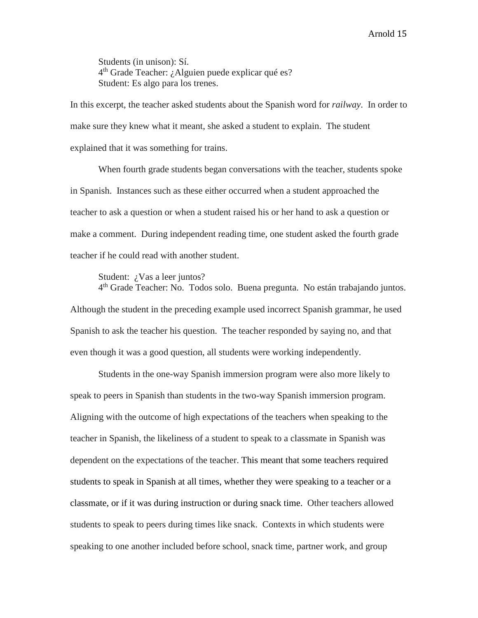Students (in unison): Sí.  $4<sup>th</sup>$  Grade Teacher: ¿Alguien puede explicar qué es? Student: Es algo para los trenes.

In this excerpt, the teacher asked students about the Spanish word for *railway*. In order to make sure they knew what it meant, she asked a student to explain. The student explained that it was something for trains.

When fourth grade students began conversations with the teacher, students spoke in Spanish. Instances such as these either occurred when a student approached the teacher to ask a question or when a student raised his or her hand to ask a question or make a comment. During independent reading time, one student asked the fourth grade teacher if he could read with another student.

Student: ¿Vas a leer juntos?

4th Grade Teacher: No. Todos solo. Buena pregunta. No están trabajando juntos. Although the student in the preceding example used incorrect Spanish grammar, he used Spanish to ask the teacher his question. The teacher responded by saying no, and that even though it was a good question, all students were working independently.

Students in the one-way Spanish immersion program were also more likely to speak to peers in Spanish than students in the two-way Spanish immersion program. Aligning with the outcome of high expectations of the teachers when speaking to the teacher in Spanish, the likeliness of a student to speak to a classmate in Spanish was dependent on the expectations of the teacher. This meant that some teachers required students to speak in Spanish at all times, whether they were speaking to a teacher or a classmate, or if it was during instruction or during snack time. Other teachers allowed students to speak to peers during times like snack. Contexts in which students were speaking to one another included before school, snack time, partner work, and group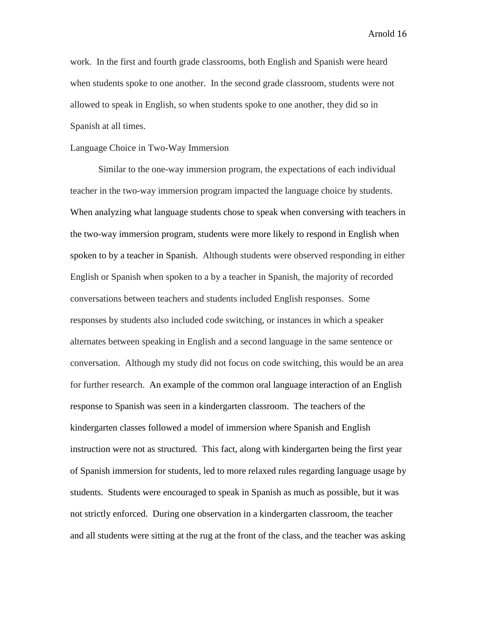work. In the first and fourth grade classrooms, both English and Spanish were heard when students spoke to one another. In the second grade classroom, students were not allowed to speak in English, so when students spoke to one another, they did so in Spanish at all times.

## Language Choice in Two-Way Immersion

Similar to the one-way immersion program, the expectations of each individual teacher in the two-way immersion program impacted the language choice by students. When analyzing what language students chose to speak when conversing with teachers in the two-way immersion program, students were more likely to respond in English when spoken to by a teacher in Spanish. Although students were observed responding in either English or Spanish when spoken to a by a teacher in Spanish, the majority of recorded conversations between teachers and students included English responses. Some responses by students also included code switching, or instances in which a speaker alternates between speaking in English and a second language in the same sentence or conversation. Although my study did not focus on code switching, this would be an area for further research. An example of the common oral language interaction of an English response to Spanish was seen in a kindergarten classroom. The teachers of the kindergarten classes followed a model of immersion where Spanish and English instruction were not as structured. This fact, along with kindergarten being the first year of Spanish immersion for students, led to more relaxed rules regarding language usage by students. Students were encouraged to speak in Spanish as much as possible, but it was not strictly enforced. During one observation in a kindergarten classroom, the teacher and all students were sitting at the rug at the front of the class, and the teacher was asking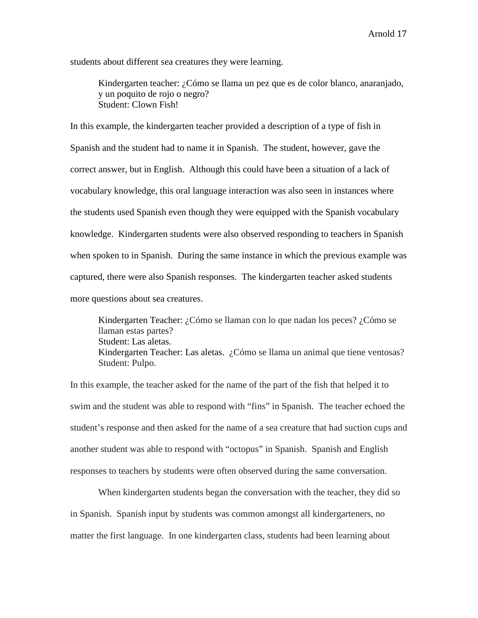students about different sea creatures they were learning.

Kindergarten teacher: ¿Cómo se llama un pez que es de color blanco, anaranjado, y un poquito de rojo o negro? Student: Clown Fish!

In this example, the kindergarten teacher provided a description of a type of fish in Spanish and the student had to name it in Spanish. The student, however, gave the correct answer, but in English. Although this could have been a situation of a lack of vocabulary knowledge, this oral language interaction was also seen in instances where the students used Spanish even though they were equipped with the Spanish vocabulary knowledge. Kindergarten students were also observed responding to teachers in Spanish when spoken to in Spanish. During the same instance in which the previous example was captured, there were also Spanish responses. The kindergarten teacher asked students more questions about sea creatures.

Kindergarten Teacher: ¿Cómo se llaman con lo que nadan los peces? ¿Cómo se llaman estas partes? Student: Las aletas. Kindergarten Teacher: Las aletas. ¿Cómo se llama un animal que tiene ventosas? Student: Pulpo.

In this example, the teacher asked for the name of the part of the fish that helped it to swim and the student was able to respond with "fins" in Spanish. The teacher echoed the student's response and then asked for the name of a sea creature that had suction cups and another student was able to respond with "octopus" in Spanish. Spanish and English responses to teachers by students were often observed during the same conversation.

When kindergarten students began the conversation with the teacher, they did so in Spanish. Spanish input by students was common amongst all kindergarteners, no matter the first language. In one kindergarten class, students had been learning about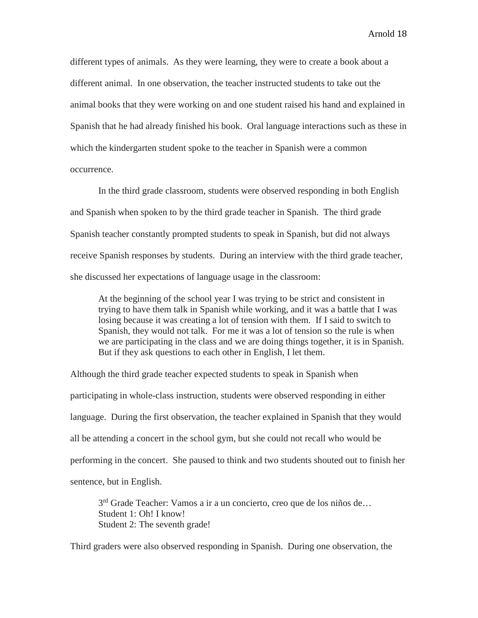different types of animals. As they were learning, they were to create a book about a different animal. In one observation, the teacher instructed students to take out the animal books that they were working on and one student raised his hand and explained in Spanish that he had already finished his book. Oral language interactions such as these in which the kindergarten student spoke to the teacher in Spanish were a common occurrence.

In the third grade classroom, students were observed responding in both English and Spanish when spoken to by the third grade teacher in Spanish. The third grade Spanish teacher constantly prompted students to speak in Spanish, but did not always receive Spanish responses by students. During an interview with the third grade teacher, she discussed her expectations of language usage in the classroom:

At the beginning of the school year I was trying to be strict and consistent in trying to have them talk in Spanish while working, and it was a battle that I was losing because it was creating a lot of tension with them. If I said to switch to Spanish, they would not talk. For me it was a lot of tension so the rule is when we are participating in the class and we are doing things together, it is in Spanish. But if they ask questions to each other in English, I let them.

Although the third grade teacher expected students to speak in Spanish when participating in whole-class instruction, students were observed responding in either language. During the first observation, the teacher explained in Spanish that they would all be attending a concert in the school gym, but she could not recall who would be performing in the concert. She paused to think and two students shouted out to finish her sentence, but in English.

3<sup>rd</sup> Grade Teacher: Vamos a ir a un concierto, creo que de los niños de... Student 1: Oh! I know! Student 2: The seventh grade!

Third graders were also observed responding in Spanish. During one observation, the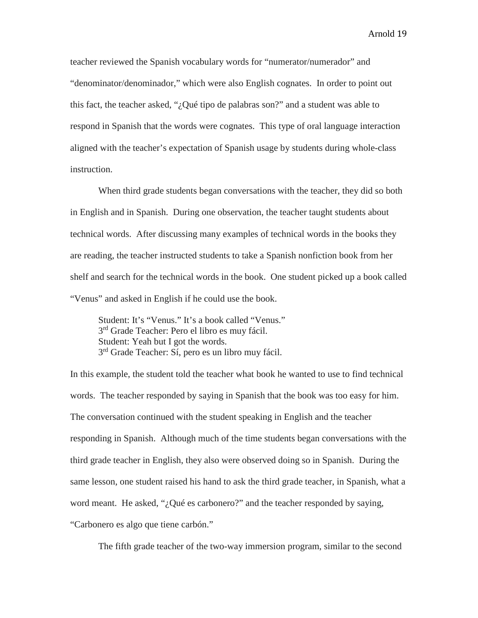teacher reviewed the Spanish vocabulary words for "numerator/numerador" and "denominator/denominador," which were also English cognates. In order to point out this fact, the teacher asked, "¿Qué tipo de palabras son?" and a student was able to respond in Spanish that the words were cognates. This type of oral language interaction aligned with the teacher's expectation of Spanish usage by students during whole-class instruction.

When third grade students began conversations with the teacher, they did so both in English and in Spanish. During one observation, the teacher taught students about technical words. After discussing many examples of technical words in the books they are reading, the teacher instructed students to take a Spanish nonfiction book from her shelf and search for the technical words in the book. One student picked up a book called "Venus" and asked in English if he could use the book.

Student: It's "Venus." It's a book called "Venus." 3<sup>rd</sup> Grade Teacher: Pero el libro es muy fácil. Student: Yeah but I got the words. 3<sup>rd</sup> Grade Teacher: Sí, pero es un libro muy fácil.

In this example, the student told the teacher what book he wanted to use to find technical words. The teacher responded by saying in Spanish that the book was too easy for him. The conversation continued with the student speaking in English and the teacher responding in Spanish. Although much of the time students began conversations with the third grade teacher in English, they also were observed doing so in Spanish. During the same lesson, one student raised his hand to ask the third grade teacher, in Spanish, what a word meant. He asked, "¿Qué es carbonero?" and the teacher responded by saying, "Carbonero es algo que tiene carbón."

The fifth grade teacher of the two-way immersion program, similar to the second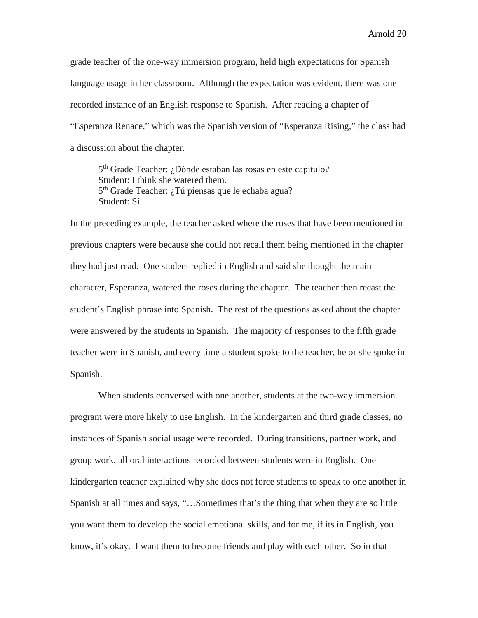grade teacher of the one-way immersion program, held high expectations for Spanish language usage in her classroom. Although the expectation was evident, there was one recorded instance of an English response to Spanish. After reading a chapter of "Esperanza Renace," which was the Spanish version of "Esperanza Rising," the class had a discussion about the chapter.

5<sup>th</sup> Grade Teacher: ¿Dónde estaban las rosas en este capítulo? Student: I think she watered them. 5<sup>th</sup> Grade Teacher: ¿Tú piensas que le echaba agua? Student: Sí.

In the preceding example, the teacher asked where the roses that have been mentioned in previous chapters were because she could not recall them being mentioned in the chapter they had just read. One student replied in English and said she thought the main character, Esperanza, watered the roses during the chapter. The teacher then recast the student's English phrase into Spanish. The rest of the questions asked about the chapter were answered by the students in Spanish. The majority of responses to the fifth grade teacher were in Spanish, and every time a student spoke to the teacher, he or she spoke in Spanish.

When students conversed with one another, students at the two-way immersion program were more likely to use English. In the kindergarten and third grade classes, no instances of Spanish social usage were recorded. During transitions, partner work, and group work, all oral interactions recorded between students were in English. One kindergarten teacher explained why she does not force students to speak to one another in Spanish at all times and says, "…Sometimes that's the thing that when they are so little you want them to develop the social emotional skills, and for me, if its in English, you know, it's okay. I want them to become friends and play with each other. So in that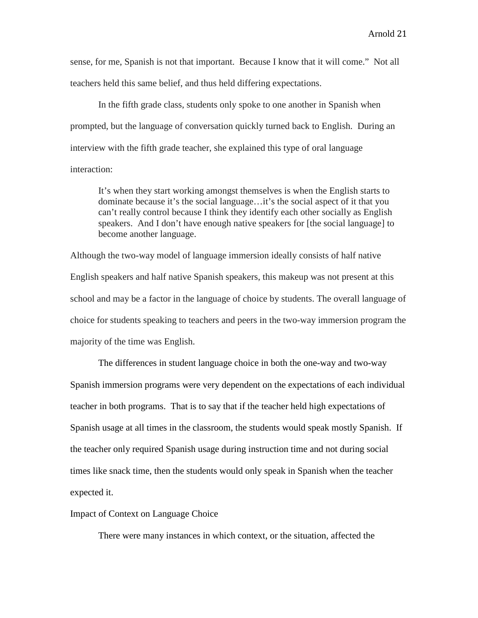sense, for me, Spanish is not that important. Because I know that it will come." Not all teachers held this same belief, and thus held differing expectations.

In the fifth grade class, students only spoke to one another in Spanish when prompted, but the language of conversation quickly turned back to English. During an interview with the fifth grade teacher, she explained this type of oral language interaction:

It's when they start working amongst themselves is when the English starts to dominate because it's the social language…it's the social aspect of it that you can't really control because I think they identify each other socially as English speakers. And I don't have enough native speakers for [the social language] to become another language.

Although the two-way model of language immersion ideally consists of half native English speakers and half native Spanish speakers, this makeup was not present at this school and may be a factor in the language of choice by students. The overall language of choice for students speaking to teachers and peers in the two-way immersion program the majority of the time was English.

The differences in student language choice in both the one-way and two-way Spanish immersion programs were very dependent on the expectations of each individual teacher in both programs. That is to say that if the teacher held high expectations of Spanish usage at all times in the classroom, the students would speak mostly Spanish. If the teacher only required Spanish usage during instruction time and not during social times like snack time, then the students would only speak in Spanish when the teacher expected it.

Impact of Context on Language Choice

There were many instances in which context, or the situation, affected the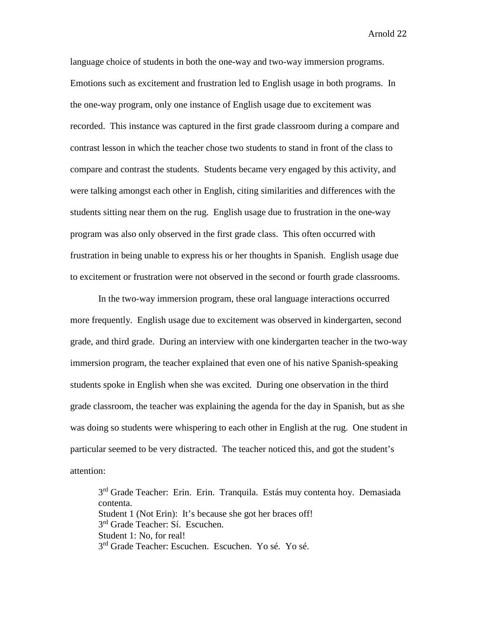language choice of students in both the one-way and two-way immersion programs. Emotions such as excitement and frustration led to English usage in both programs. In the one-way program, only one instance of English usage due to excitement was recorded. This instance was captured in the first grade classroom during a compare and contrast lesson in which the teacher chose two students to stand in front of the class to compare and contrast the students. Students became very engaged by this activity, and were talking amongst each other in English, citing similarities and differences with the students sitting near them on the rug. English usage due to frustration in the one-way program was also only observed in the first grade class. This often occurred with frustration in being unable to express his or her thoughts in Spanish. English usage due to excitement or frustration were not observed in the second or fourth grade classrooms.

In the two-way immersion program, these oral language interactions occurred more frequently. English usage due to excitement was observed in kindergarten, second grade, and third grade. During an interview with one kindergarten teacher in the two-way immersion program, the teacher explained that even one of his native Spanish-speaking students spoke in English when she was excited. During one observation in the third grade classroom, the teacher was explaining the agenda for the day in Spanish, but as she was doing so students were whispering to each other in English at the rug. One student in particular seemed to be very distracted. The teacher noticed this, and got the student's attention:

3<sup>rd</sup> Grade Teacher: Erin. Erin. Tranquila. Estás muy contenta hoy. Demasiada contenta. Student 1 (Not Erin): It's because she got her braces off!  $3<sup>rd</sup>$  Grade Teacher: Sí. Escuchen. Student 1: No, for real! 3<sup>rd</sup> Grade Teacher: Escuchen. Escuchen. Yo sé. Yo sé.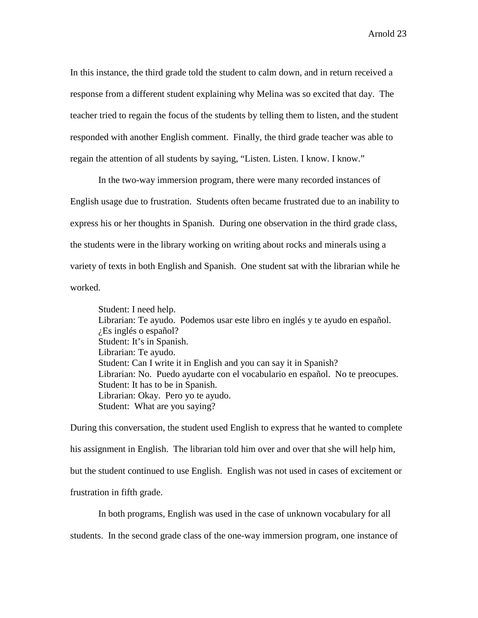In this instance, the third grade told the student to calm down, and in return received a response from a different student explaining why Melina was so excited that day. The teacher tried to regain the focus of the students by telling them to listen, and the student responded with another English comment. Finally, the third grade teacher was able to regain the attention of all students by saying, "Listen. Listen. I know. I know."

In the two-way immersion program, there were many recorded instances of English usage due to frustration. Students often became frustrated due to an inability to express his or her thoughts in Spanish. During one observation in the third grade class, the students were in the library working on writing about rocks and minerals using a variety of texts in both English and Spanish. One student sat with the librarian while he worked.

Student: I need help. Librarian: Te ayudo. Podemos usar este libro en inglés y te ayudo en español. ¿Es inglés o español? Student: It's in Spanish. Librarian: Te ayudo. Student: Can I write it in English and you can say it in Spanish? Librarian: No. Puedo ayudarte con el vocabulario en español. No te preocupes. Student: It has to be in Spanish. Librarian: Okay. Pero yo te ayudo. Student: What are you saying?

During this conversation, the student used English to express that he wanted to complete his assignment in English. The librarian told him over and over that she will help him, but the student continued to use English. English was not used in cases of excitement or frustration in fifth grade.

In both programs, English was used in the case of unknown vocabulary for all students. In the second grade class of the one-way immersion program, one instance of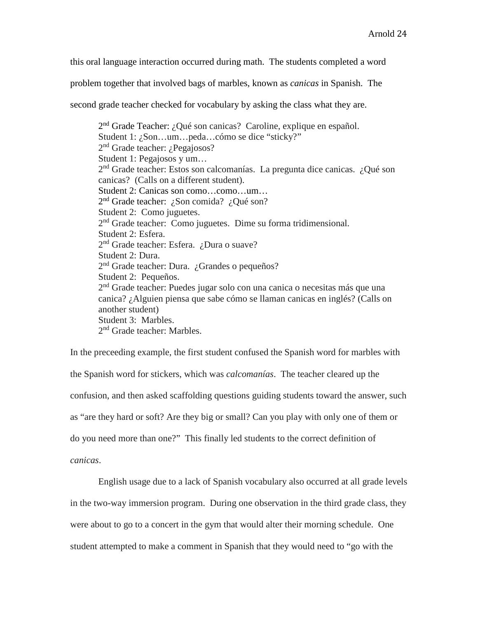this oral language interaction occurred during math. The students completed a word

problem together that involved bags of marbles, known as *canicas* in Spanish. The

second grade teacher checked for vocabulary by asking the class what they are.

2nd Grade Teacher: ¿Qué son canicas? Caroline, explique en español. Student 1: ¿Son…um…peda…cómo se dice "sticky?" 2nd Grade teacher: ¿Pegajosos? Student 1: Pegajosos y um… 2nd Grade teacher: Estos son calcomanías. La pregunta dice canicas. ¿Qué son canicas? (Calls on a different student). Student 2: Canicas son como…como…um… 2<sup>nd</sup> Grade teacher: ¿Son comida? ¿Qué son? Student 2: Como juguetes. 2nd Grade teacher: Como juguetes. Dime su forma tridimensional. Student 2: Esfera. 2<sup>nd</sup> Grade teacher: Esfera. ¿Dura o suave? Student 2: Dura. 2<sup>nd</sup> Grade teacher: Dura. ¿Grandes o pequeños? Student 2: Pequeños. 2<sup>nd</sup> Grade teacher: Puedes jugar solo con una canica o necesitas más que una canica? ¿Alguien piensa que sabe cómo se llaman canicas en inglés? (Calls on another student) Student 3: Marbles. 2nd Grade teacher: Marbles.

In the preceeding example, the first student confused the Spanish word for marbles with the Spanish word for stickers, which was *calcomanías*. The teacher cleared up the confusion, and then asked scaffolding questions guiding students toward the answer, such as "are they hard or soft? Are they big or small? Can you play with only one of them or do you need more than one?" This finally led students to the correct definition of *canicas*.

English usage due to a lack of Spanish vocabulary also occurred at all grade levels in the two-way immersion program. During one observation in the third grade class, they were about to go to a concert in the gym that would alter their morning schedule. One student attempted to make a comment in Spanish that they would need to "go with the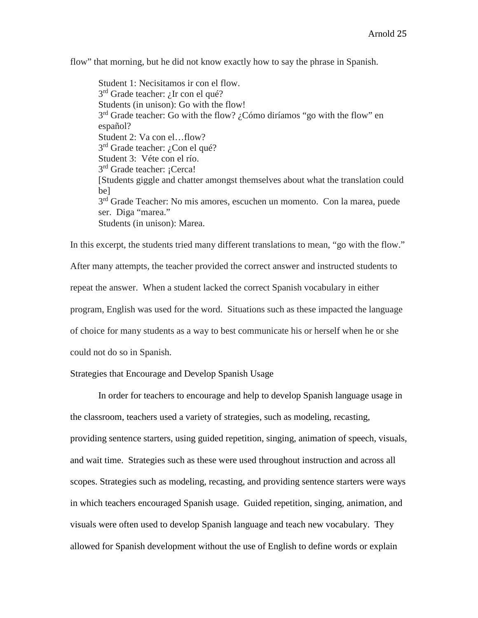flow" that morning, but he did not know exactly how to say the phrase in Spanish.

Student 1: Necisitamos ir con el flow.  $3<sup>rd</sup>$  Grade teacher: *i*. Ir con el qué? Students (in unison): Go with the flow! 3<sup>rd</sup> Grade teacher: Go with the flow? ¿Cómo diríamos "go with the flow" en español? Student 2: Va con el…flow? 3<sup>rd</sup> Grade teacher: ¿Con el qué? Student 3: Véte con el río. 3<sup>rd</sup> Grade teacher: ¡Cerca! [Students giggle and chatter amongst themselves about what the translation could be] 3<sup>rd</sup> Grade Teacher: No mis amores, escuchen un momento. Con la marea, puede ser. Diga "marea." Students (in unison): Marea.

In this excerpt, the students tried many different translations to mean, "go with the flow." After many attempts, the teacher provided the correct answer and instructed students to repeat the answer. When a student lacked the correct Spanish vocabulary in either program, English was used for the word. Situations such as these impacted the language of choice for many students as a way to best communicate his or herself when he or she could not do so in Spanish.

Strategies that Encourage and Develop Spanish Usage

In order for teachers to encourage and help to develop Spanish language usage in the classroom, teachers used a variety of strategies, such as modeling, recasting,

providing sentence starters, using guided repetition, singing, animation of speech, visuals, and wait time. Strategies such as these were used throughout instruction and across all scopes. Strategies such as modeling, recasting, and providing sentence starters were ways in which teachers encouraged Spanish usage. Guided repetition, singing, animation, and visuals were often used to develop Spanish language and teach new vocabulary. They allowed for Spanish development without the use of English to define words or explain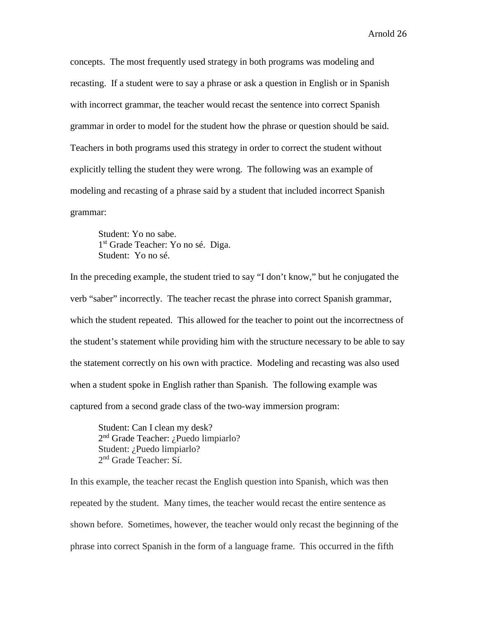concepts. The most frequently used strategy in both programs was modeling and recasting. If a student were to say a phrase or ask a question in English or in Spanish with incorrect grammar, the teacher would recast the sentence into correct Spanish grammar in order to model for the student how the phrase or question should be said. Teachers in both programs used this strategy in order to correct the student without explicitly telling the student they were wrong. The following was an example of modeling and recasting of a phrase said by a student that included incorrect Spanish grammar:

Student: Yo no sabe. 1<sup>st</sup> Grade Teacher: Yo no sé. Diga. Student: Yo no sé.

In the preceding example, the student tried to say "I don't know," but he conjugated the verb "saber" incorrectly. The teacher recast the phrase into correct Spanish grammar, which the student repeated. This allowed for the teacher to point out the incorrectness of the student's statement while providing him with the structure necessary to be able to say the statement correctly on his own with practice. Modeling and recasting was also used when a student spoke in English rather than Spanish. The following example was captured from a second grade class of the two-way immersion program:

Student: Can I clean my desk? 2nd Grade Teacher: ¿Puedo limpiarlo? Student: ¿Puedo limpiarlo? 2nd Grade Teacher: Sí.

In this example, the teacher recast the English question into Spanish, which was then repeated by the student. Many times, the teacher would recast the entire sentence as shown before. Sometimes, however, the teacher would only recast the beginning of the phrase into correct Spanish in the form of a language frame. This occurred in the fifth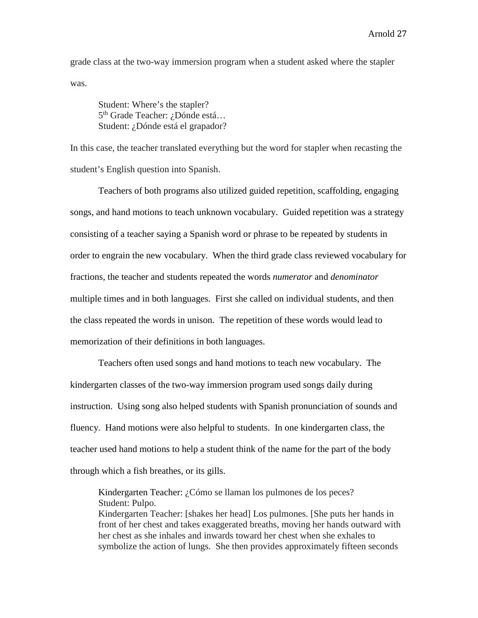grade class at the two-way immersion program when a student asked where the stapler was.

Student: Where's the stapler? 5<sup>th</sup> Grade Teacher: ¿Dónde está... Student: ¿Dónde está el grapador?

In this case, the teacher translated everything but the word for stapler when recasting the student's English question into Spanish.

Teachers of both programs also utilized guided repetition, scaffolding, engaging songs, and hand motions to teach unknown vocabulary. Guided repetition was a strategy consisting of a teacher saying a Spanish word or phrase to be repeated by students in order to engrain the new vocabulary. When the third grade class reviewed vocabulary for fractions, the teacher and students repeated the words *numerator* and *denominator* multiple times and in both languages. First she called on individual students, and then the class repeated the words in unison. The repetition of these words would lead to memorization of their definitions in both languages.

Teachers often used songs and hand motions to teach new vocabulary. The kindergarten classes of the two-way immersion program used songs daily during instruction. Using song also helped students with Spanish pronunciation of sounds and fluency. Hand motions were also helpful to students. In one kindergarten class, the teacher used hand motions to help a student think of the name for the part of the body through which a fish breathes, or its gills.

Kindergarten Teacher: ¿Cómo se llaman los pulmones de los peces? Student: Pulpo. Kindergarten Teacher: [shakes her head] Los pulmones. [She puts her hands in front of her chest and takes exaggerated breaths, moving her hands outward with her chest as she inhales and inwards toward her chest when she exhales to symbolize the action of lungs. She then provides approximately fifteen seconds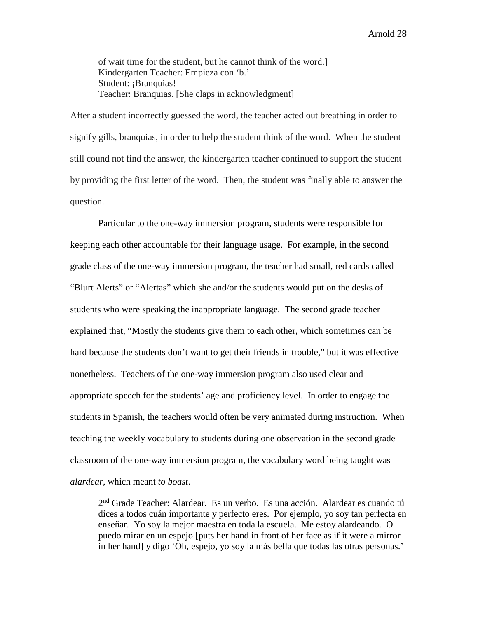of wait time for the student, but he cannot think of the word.] Kindergarten Teacher: Empieza con 'b.' Student: ¡Branquias! Teacher: Branquias. [She claps in acknowledgment]

After a student incorrectly guessed the word, the teacher acted out breathing in order to signify gills, branquias, in order to help the student think of the word. When the student still cound not find the answer, the kindergarten teacher continued to support the student by providing the first letter of the word. Then, the student was finally able to answer the question.

Particular to the one-way immersion program, students were responsible for keeping each other accountable for their language usage. For example, in the second grade class of the one-way immersion program, the teacher had small, red cards called "Blurt Alerts" or "Alertas" which she and/or the students would put on the desks of students who were speaking the inappropriate language. The second grade teacher explained that, "Mostly the students give them to each other, which sometimes can be hard because the students don't want to get their friends in trouble," but it was effective nonetheless. Teachers of the one-way immersion program also used clear and appropriate speech for the students' age and proficiency level. In order to engage the students in Spanish, the teachers would often be very animated during instruction. When teaching the weekly vocabulary to students during one observation in the second grade classroom of the one-way immersion program, the vocabulary word being taught was *alardear*, which meant *to boast*.

2nd Grade Teacher: Alardear. Es un verbo. Es una acción. Alardear es cuando tú dices a todos cuán importante y perfecto eres. Por ejemplo, yo soy tan perfecta en enseñar. Yo soy la mejor maestra en toda la escuela. Me estoy alardeando. O puedo mirar en un espejo [puts her hand in front of her face as if it were a mirror in her hand] y digo 'Oh, espejo, yo soy la más bella que todas las otras personas.'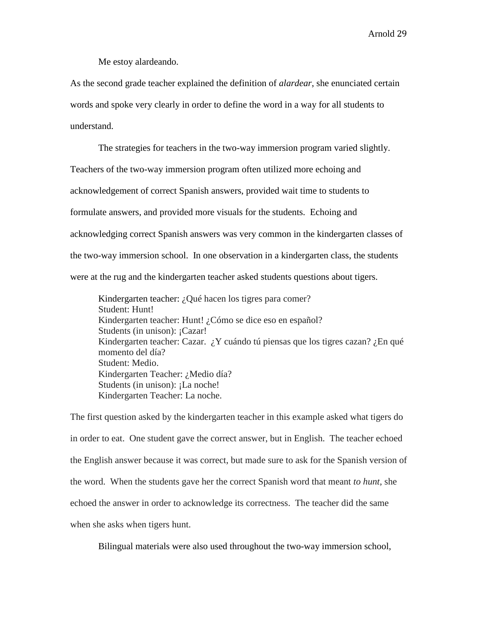Me estoy alardeando.

As the second grade teacher explained the definition of *alardear*, she enunciated certain words and spoke very clearly in order to define the word in a way for all students to understand.

The strategies for teachers in the two-way immersion program varied slightly. Teachers of the two-way immersion program often utilized more echoing and acknowledgement of correct Spanish answers, provided wait time to students to formulate answers, and provided more visuals for the students. Echoing and acknowledging correct Spanish answers was very common in the kindergarten classes of the two-way immersion school. In one observation in a kindergarten class, the students were at the rug and the kindergarten teacher asked students questions about tigers.

Kindergarten teacher: ¿Qué hacen los tigres para comer? Student: Hunt! Kindergarten teacher: Hunt! ¿Cómo se dice eso en español? Students (in unison): ¡Cazar! Kindergarten teacher: Cazar.  $i$ , Y cuándo tú piensas que los tigres cazan?  $i$ , En qué momento del día? Student: Medio. Kindergarten Teacher: ¿Medio día? Students (in unison): ¡La noche! Kindergarten Teacher: La noche.

The first question asked by the kindergarten teacher in this example asked what tigers do in order to eat. One student gave the correct answer, but in English. The teacher echoed the English answer because it was correct, but made sure to ask for the Spanish version of the word. When the students gave her the correct Spanish word that meant *to hunt*, she echoed the answer in order to acknowledge its correctness. The teacher did the same when she asks when tigers hunt.

Bilingual materials were also used throughout the two-way immersion school,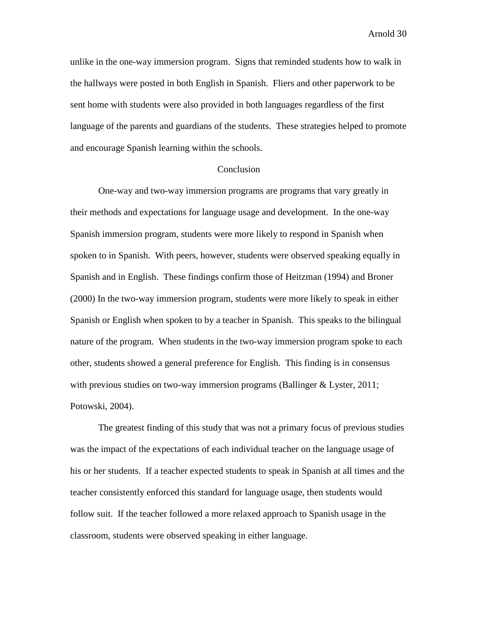unlike in the one-way immersion program. Signs that reminded students how to walk in the hallways were posted in both English in Spanish. Fliers and other paperwork to be sent home with students were also provided in both languages regardless of the first language of the parents and guardians of the students. These strategies helped to promote and encourage Spanish learning within the schools.

## Conclusion

One-way and two-way immersion programs are programs that vary greatly in their methods and expectations for language usage and development. In the one-way Spanish immersion program, students were more likely to respond in Spanish when spoken to in Spanish. With peers, however, students were observed speaking equally in Spanish and in English. These findings confirm those of Heitzman (1994) and Broner (2000) In the two-way immersion program, students were more likely to speak in either Spanish or English when spoken to by a teacher in Spanish. This speaks to the bilingual nature of the program. When students in the two-way immersion program spoke to each other, students showed a general preference for English. This finding is in consensus with previous studies on two-way immersion programs (Ballinger & Lyster, 2011; Potowski, 2004).

The greatest finding of this study that was not a primary focus of previous studies was the impact of the expectations of each individual teacher on the language usage of his or her students. If a teacher expected students to speak in Spanish at all times and the teacher consistently enforced this standard for language usage, then students would follow suit. If the teacher followed a more relaxed approach to Spanish usage in the classroom, students were observed speaking in either language.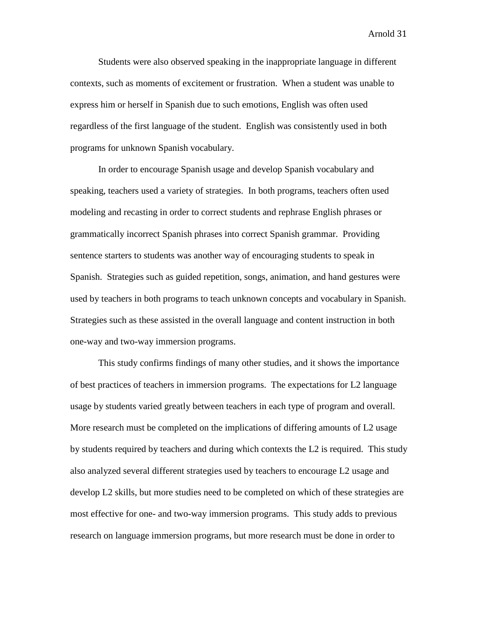Students were also observed speaking in the inappropriate language in different contexts, such as moments of excitement or frustration. When a student was unable to express him or herself in Spanish due to such emotions, English was often used regardless of the first language of the student. English was consistently used in both programs for unknown Spanish vocabulary.

In order to encourage Spanish usage and develop Spanish vocabulary and speaking, teachers used a variety of strategies. In both programs, teachers often used modeling and recasting in order to correct students and rephrase English phrases or grammatically incorrect Spanish phrases into correct Spanish grammar. Providing sentence starters to students was another way of encouraging students to speak in Spanish. Strategies such as guided repetition, songs, animation, and hand gestures were used by teachers in both programs to teach unknown concepts and vocabulary in Spanish. Strategies such as these assisted in the overall language and content instruction in both one-way and two-way immersion programs.

This study confirms findings of many other studies, and it shows the importance of best practices of teachers in immersion programs. The expectations for L2 language usage by students varied greatly between teachers in each type of program and overall. More research must be completed on the implications of differing amounts of L2 usage by students required by teachers and during which contexts the L2 is required. This study also analyzed several different strategies used by teachers to encourage L2 usage and develop L2 skills, but more studies need to be completed on which of these strategies are most effective for one- and two-way immersion programs. This study adds to previous research on language immersion programs, but more research must be done in order to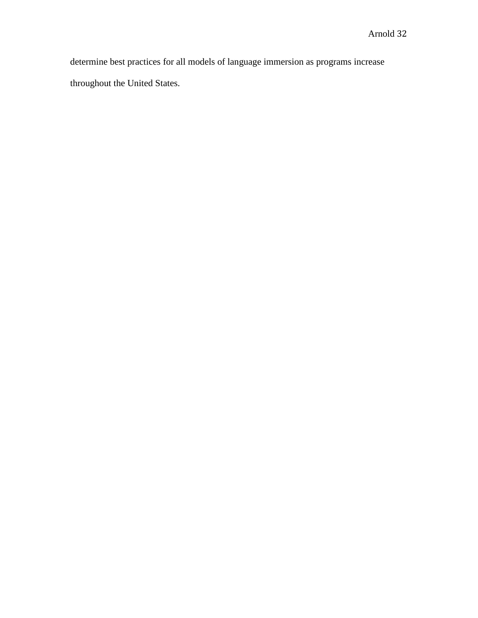determine best practices for all models of language immersion as programs increase throughout the United States.